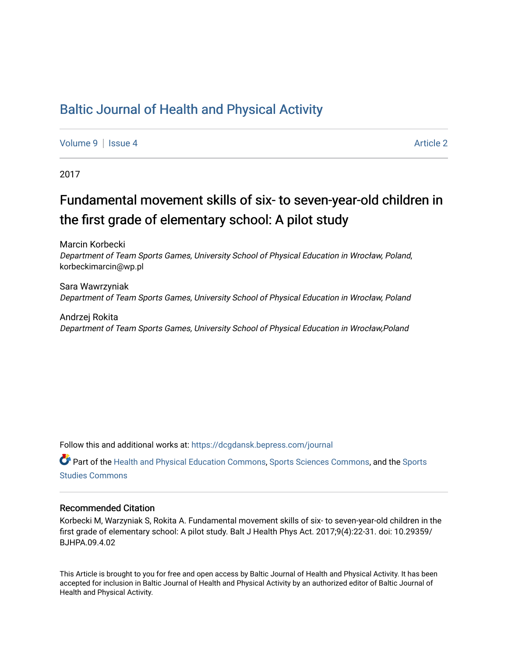## [Baltic Journal of Health and Physical Activity](https://dcgdansk.bepress.com/journal)

[Volume 9](https://dcgdansk.bepress.com/journal/vol9) | [Issue 4](https://dcgdansk.bepress.com/journal/vol9/iss4) Article 2

2017

# Fundamental movement skills of six- to seven-year-old children in the first grade of elementary school: A pilot study

Marcin Korbecki Department of Team Sports Games, University School of Physical Education in Wrocław, Poland, korbeckimarcin@wp.pl

Sara Wawrzyniak Department of Team Sports Games, University School of Physical Education in Wrocław, Poland

Andrzej Rokita Department of Team Sports Games, University School of Physical Education in Wrocław,Poland

Follow this and additional works at: [https://dcgdansk.bepress.com/journal](https://dcgdansk.bepress.com/journal?utm_source=dcgdansk.bepress.com%2Fjournal%2Fvol9%2Fiss4%2F2&utm_medium=PDF&utm_campaign=PDFCoverPages)

Part of the [Health and Physical Education Commons](http://network.bepress.com/hgg/discipline/1327?utm_source=dcgdansk.bepress.com%2Fjournal%2Fvol9%2Fiss4%2F2&utm_medium=PDF&utm_campaign=PDFCoverPages), [Sports Sciences Commons](http://network.bepress.com/hgg/discipline/759?utm_source=dcgdansk.bepress.com%2Fjournal%2Fvol9%2Fiss4%2F2&utm_medium=PDF&utm_campaign=PDFCoverPages), and the [Sports](http://network.bepress.com/hgg/discipline/1198?utm_source=dcgdansk.bepress.com%2Fjournal%2Fvol9%2Fiss4%2F2&utm_medium=PDF&utm_campaign=PDFCoverPages)  [Studies Commons](http://network.bepress.com/hgg/discipline/1198?utm_source=dcgdansk.bepress.com%2Fjournal%2Fvol9%2Fiss4%2F2&utm_medium=PDF&utm_campaign=PDFCoverPages) 

#### Recommended Citation

Korbecki M, Warzyniak S, Rokita A. Fundamental movement skills of six- to seven-year-old children in the first grade of elementary school: A pilot study. Balt J Health Phys Act. 2017;9(4):22-31. doi: 10.29359/ BJHPA.09.4.02

This Article is brought to you for free and open access by Baltic Journal of Health and Physical Activity. It has been accepted for inclusion in Baltic Journal of Health and Physical Activity by an authorized editor of Baltic Journal of Health and Physical Activity.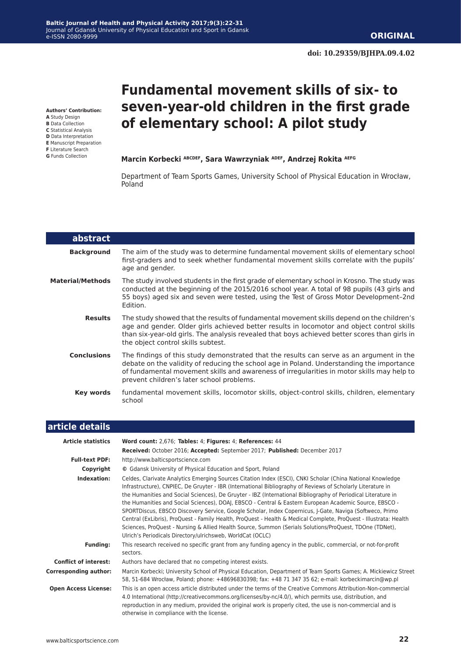**Authors' Contribution:**

- **A** Study Design
- **B** Data Collection
- **C** Statistical Analysis
- **D** Data Interpretation **E** Manuscript Preparation
- **F** Literature Search
- **G** Funds Collection

# **Fundamental movement skills of six- to seven-year-old children in the first grade of elementary school: A pilot study**

#### **Marcin Korbecki ABCDEF, Sara Wawrzyniak ADEF, Andrzej Rokita AEFG**

Department of Team Sports Games, University School of Physical Education in Wrocław, Poland

| abstract                |                                                                                                                                                                                                                                                                                                                                  |
|-------------------------|----------------------------------------------------------------------------------------------------------------------------------------------------------------------------------------------------------------------------------------------------------------------------------------------------------------------------------|
| <b>Background</b>       | The aim of the study was to determine fundamental movement skills of elementary school<br>first-graders and to seek whether fundamental movement skills correlate with the pupils'<br>age and gender.                                                                                                                            |
| <b>Material/Methods</b> | The study involved students in the first grade of elementary school in Krosno. The study was<br>conducted at the beginning of the 2015/2016 school year. A total of 98 pupils (43 girls and<br>55 boys) aged six and seven were tested, using the Test of Gross Motor Development-2nd<br>Edition.                                |
| <b>Results</b>          | The study showed that the results of fundamental movement skills depend on the children's<br>age and gender. Older girls achieved better results in locomotor and object control skills<br>than six-year-old girls. The analysis revealed that boys achieved better scores than girls in<br>the object control skills subtest.   |
| <b>Conclusions</b>      | The findings of this study demonstrated that the results can serve as an argument in the<br>debate on the validity of reducing the school age in Poland. Understanding the importance<br>of fundamental movement skills and awareness of irregularities in motor skills may help to<br>prevent children's later school problems. |
| Key words               | fundamental movement skills, locomotor skills, object-control skills, children, elementary<br>school                                                                                                                                                                                                                             |

| article details              |                                                                                                                                                                                                                                                                                                                                                                                                                                                                                                                                                                                                                                                                                                                                                                                                                                                               |  |  |  |  |  |  |  |
|------------------------------|---------------------------------------------------------------------------------------------------------------------------------------------------------------------------------------------------------------------------------------------------------------------------------------------------------------------------------------------------------------------------------------------------------------------------------------------------------------------------------------------------------------------------------------------------------------------------------------------------------------------------------------------------------------------------------------------------------------------------------------------------------------------------------------------------------------------------------------------------------------|--|--|--|--|--|--|--|
| <b>Article statistics</b>    | Word count: 2,676; Tables: 4; Figures: 4; References: 44                                                                                                                                                                                                                                                                                                                                                                                                                                                                                                                                                                                                                                                                                                                                                                                                      |  |  |  |  |  |  |  |
|                              | Received: October 2016; Accepted: September 2017; Published: December 2017                                                                                                                                                                                                                                                                                                                                                                                                                                                                                                                                                                                                                                                                                                                                                                                    |  |  |  |  |  |  |  |
| <b>Full-text PDF:</b>        | http://www.balticsportscience.com                                                                                                                                                                                                                                                                                                                                                                                                                                                                                                                                                                                                                                                                                                                                                                                                                             |  |  |  |  |  |  |  |
| Copyright                    | © Gdansk University of Physical Education and Sport, Poland                                                                                                                                                                                                                                                                                                                                                                                                                                                                                                                                                                                                                                                                                                                                                                                                   |  |  |  |  |  |  |  |
| Indexation:                  | Celdes, Clarivate Analytics Emerging Sources Citation Index (ESCI), CNKI Scholar (China National Knowledge<br>Infrastructure), CNPIEC, De Gruyter - IBR (International Bibliography of Reviews of Scholarly Literature in<br>the Humanities and Social Sciences), De Gruyter - IBZ (International Bibliography of Periodical Literature in<br>the Humanities and Social Sciences), DOAJ, EBSCO - Central & Eastern European Academic Source, EBSCO -<br>SPORTDiscus, EBSCO Discovery Service, Google Scholar, Index Copernicus, J-Gate, Naviga (Softweco, Primo<br>Central (ExLibris), ProQuest - Family Health, ProQuest - Health & Medical Complete, ProQuest - Illustrata: Health<br>Sciences, ProQuest - Nursing & Allied Health Source, Summon (Serials Solutions/ProQuest, TDOne (TDNet),<br>Ulrich's Periodicals Directory/ulrichsweb, WorldCat (OCLC) |  |  |  |  |  |  |  |
| <b>Funding:</b>              | This research received no specific grant from any funding agency in the public, commercial, or not-for-profit<br>sectors.                                                                                                                                                                                                                                                                                                                                                                                                                                                                                                                                                                                                                                                                                                                                     |  |  |  |  |  |  |  |
| <b>Conflict of interest:</b> | Authors have declared that no competing interest exists.                                                                                                                                                                                                                                                                                                                                                                                                                                                                                                                                                                                                                                                                                                                                                                                                      |  |  |  |  |  |  |  |
| <b>Corresponding author:</b> | Marcin Korbecki; University School of Physical Education, Department of Team Sports Games; A. Mickiewicz Street<br>58, 51-684 Wrocław, Poland; phone: +48696830398; fax: +48 71 347 35 62; e-mail: korbeckimarcin@wp.pl                                                                                                                                                                                                                                                                                                                                                                                                                                                                                                                                                                                                                                       |  |  |  |  |  |  |  |
| <b>Open Access License:</b>  | This is an open access article distributed under the terms of the Creative Commons Attribution-Non-commercial<br>4.0 International (http://creativecommons.org/licenses/by-nc/4.0/), which permits use, distribution, and<br>reproduction in any medium, provided the original work is properly cited, the use is non-commercial and is<br>otherwise in compliance with the license.                                                                                                                                                                                                                                                                                                                                                                                                                                                                          |  |  |  |  |  |  |  |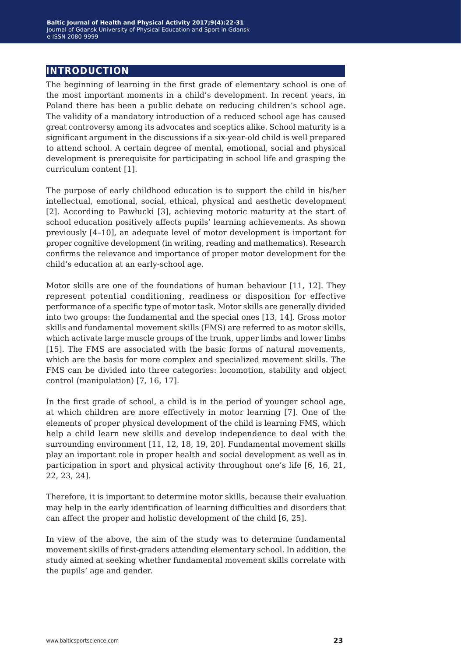## **introduction**

The beginning of learning in the first grade of elementary school is one of the most important moments in a child's development. In recent years, in Poland there has been a public debate on reducing children's school age. The validity of a mandatory introduction of a reduced school age has caused great controversy among its advocates and sceptics alike. School maturity is a significant argument in the discussions if a six-year-old child is well prepared to attend school. A certain degree of mental, emotional, social and physical development is prerequisite for participating in school life and grasping the curriculum content [1].

The purpose of early childhood education is to support the child in his/her intellectual, emotional, social, ethical, physical and aesthetic development [2]. According to Pawłucki [3], achieving motoric maturity at the start of school education positively affects pupils' learning achievements. As shown previously [4–10], an adequate level of motor development is important for proper cognitive development (in writing, reading and mathematics). Research confirms the relevance and importance of proper motor development for the child's education at an early-school age.

Motor skills are one of the foundations of human behaviour [11, 12]. They represent potential conditioning, readiness or disposition for effective performance of a specific type of motor task. Motor skills are generally divided into two groups: the fundamental and the special ones [13, 14]. Gross motor skills and fundamental movement skills (FMS) are referred to as motor skills, which activate large muscle groups of the trunk, upper limbs and lower limbs [15]. The FMS are associated with the basic forms of natural movements, which are the basis for more complex and specialized movement skills. The FMS can be divided into three categories: locomotion, stability and object control (manipulation) [7, 16, 17].

In the first grade of school, a child is in the period of younger school age, at which children are more effectively in motor learning [7]. One of the elements of proper physical development of the child is learning FMS, which help a child learn new skills and develop independence to deal with the surrounding environment [11, 12, 18, 19, 20]. Fundamental movement skills play an important role in proper health and social development as well as in participation in sport and physical activity throughout one's life [6, 16, 21, 22, 23, 24].

Therefore, it is important to determine motor skills, because their evaluation may help in the early identification of learning difficulties and disorders that can affect the proper and holistic development of the child [6, 25].

In view of the above, the aim of the study was to determine fundamental movement skills of first-graders attending elementary school. In addition, the study aimed at seeking whether fundamental movement skills correlate with the pupils' age and gender.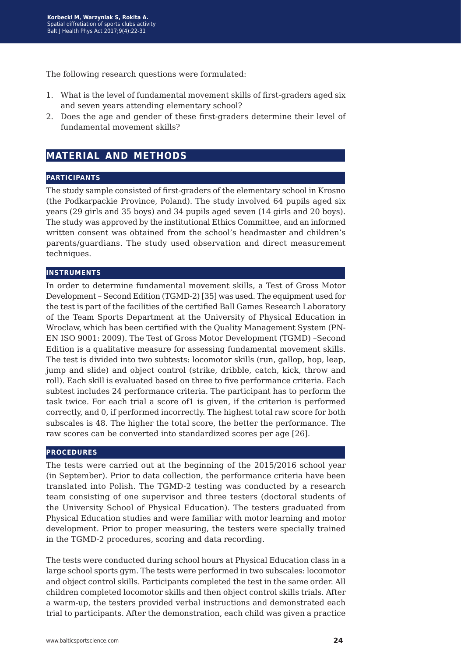The following research questions were formulated:

- 1. What is the level of fundamental movement skills of first-graders aged six and seven years attending elementary school?
- 2. Does the age and gender of these first-graders determine their level of fundamental movement skills?

## **material and methods**

#### **participants**

The study sample consisted of first-graders of the elementary school in Krosno (the Podkarpackie Province, Poland). The study involved 64 pupils aged six years (29 girls and 35 boys) and 34 pupils aged seven (14 girls and 20 boys). The study was approved by the institutional Ethics Committee, and an informed written consent was obtained from the school's headmaster and children's parents/guardians. The study used observation and direct measurement techniques.

#### **instruments**

In order to determine fundamental movement skills, a Test of Gross Motor Development – Second Edition (TGMD-2) [35] was used. The equipment used for the test is part of the facilities of the certified Ball Games Research Laboratory of the Team Sports Department at the University of Physical Education in Wroclaw, which has been certified with the Quality Management System (PN-EN ISO 9001: 2009). The Test of Gross Motor Development (TGMD) –Second Edition is a qualitative measure for assessing fundamental movement skills. The test is divided into two subtests: locomotor skills (run, gallop, hop, leap, jump and slide) and object control (strike, dribble, catch, kick, throw and roll). Each skill is evaluated based on three to five performance criteria. Each subtest includes 24 performance criteria. The participant has to perform the task twice. For each trial a score of1 is given, if the criterion is performed correctly, and 0, if performed incorrectly. The highest total raw score for both subscales is 48. The higher the total score, the better the performance. The raw scores can be converted into standardized scores per age [26].

#### **procedures**

The tests were carried out at the beginning of the 2015/2016 school year (in September). Prior to data collection, the performance criteria have been translated into Polish. The TGMD-2 testing was conducted by a research team consisting of one supervisor and three testers (doctoral students of the University School of Physical Education). The testers graduated from Physical Education studies and were familiar with motor learning and motor development. Prior to proper measuring, the testers were specially trained in the TGMD-2 procedures, scoring and data recording.

The tests were conducted during school hours at Physical Education class in a large school sports gym. The tests were performed in two subscales: locomotor and object control skills. Participants completed the test in the same order. All children completed locomotor skills and then object control skills trials. After a warm-up, the testers provided verbal instructions and demonstrated each trial to participants. After the demonstration, each child was given a practice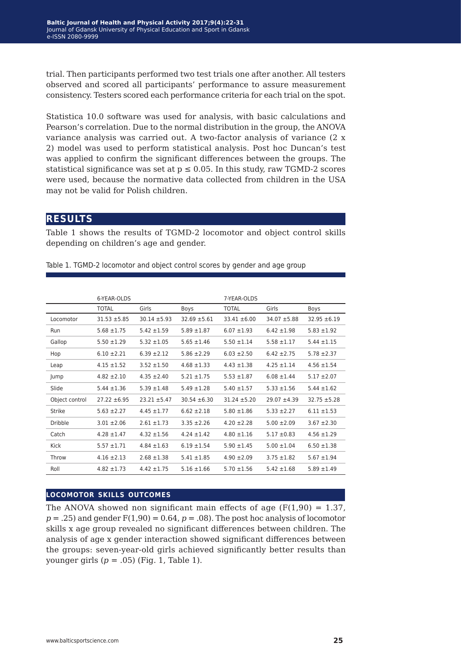trial. Then participants performed two test trials one after another. All testers observed and scored all participants' performance to assure measurement consistency. Testers scored each performance criteria for each trial on the spot.

Statistica 10.0 software was used for analysis, with basic calculations and Pearson's correlation. Due to the normal distribution in the group, the ANOVA variance analysis was carried out. A two-factor analysis of variance (2 x 2) model was used to perform statistical analysis. Post hoc Duncan's test was applied to confirm the significant differences between the groups. The statistical significance was set at  $p \le 0.05$ . In this study, raw TGMD-2 scores were used, because the normative data collected from children in the USA may not be valid for Polish children.

#### **results**

Table 1 shows the results of TGMD-2 locomotor and object control skills depending on children's age and gender.

|                | 6-YEAR-OLDS      |                  |                                    | 7-YEAR-OLDS      |                 |                  |  |  |
|----------------|------------------|------------------|------------------------------------|------------------|-----------------|------------------|--|--|
|                | <b>TOTAL</b>     | Girls            | Boys                               | <b>TOTAL</b>     | Girls           | Boys             |  |  |
| Locomotor      | $31.53 \pm 5.85$ | $30.14 \pm 5.93$ | $32.69 + 5.61$                     | $33.41 \pm 6.00$ | $34.07 + 5.88$  | $32.95 \pm 6.19$ |  |  |
| Run            | $5.68 \pm 1.75$  | $5.42 \pm 1.59$  | $5.89 \pm 1.87$                    | $6.07 \pm 1.93$  | $6.42 \pm 1.98$ | $5.83 \pm 1.92$  |  |  |
| Gallop         | $5.50 \pm 1.29$  | $5.32 \pm 1.05$  | $5.65 \pm 1.46$                    | $5.50 \pm 1.14$  | $5.58 \pm 1.17$ | $5.44 \pm 1.15$  |  |  |
| Hop            | $6.10 \pm 2.21$  | $6.39 \pm 2.12$  | $6.03 \pm 2.50$<br>$5.86 \pm 2.29$ |                  | $6.42 \pm 2.75$ | $5.78 \pm 2.37$  |  |  |
| Leap           | $4.15 \pm 1.52$  | $3.52 \pm 1.50$  | $4.68 \pm 1.33$                    | $4.43 \pm 1.38$  | $4.25 \pm 1.14$ | $4.56 \pm 1.54$  |  |  |
| Jump           | $4.82 \pm 2.10$  | $4.35 \pm 2.40$  | $5.21 \pm 1.75$                    | $5.53 \pm 1.87$  | $6.08 \pm 1.44$ | $5.17 \pm 2.07$  |  |  |
| Slide          | $5.44 \pm 1.36$  | $5.39 \pm 1.48$  | $5.49 \pm 1.28$                    | $5.40 \pm 1.57$  | $5.33 \pm 1.56$ | $5.44 \pm 1.62$  |  |  |
| Object control | $27.22 \pm 6.95$ | $23.21 \pm 5.47$ | $30.54 \pm 6.30$                   | $31.24 \pm 5.20$ | $29.07 + 4.39$  | $32.75 \pm 5.28$ |  |  |
| Strike         | $5.63 \pm 2.27$  | $4.45 \pm 1.77$  | $6.62 \pm 2.18$                    | $5.80 \pm 1.86$  | $5.33 \pm 2.27$ | $6.11 \pm 1.53$  |  |  |
| Dribble        | $3.01 \pm 2.06$  | $2.61 \pm 1.73$  | $3.35 + 2.26$                      | $4.20 \pm 2.28$  | $5.00 \pm 2.09$ | $3.67 + 2.30$    |  |  |
| Catch          | $4.28 \pm 1.47$  | $4.32 \pm 1.56$  | $4.24 \pm 1.42$                    | $4.80 \pm 1.16$  | $5.17 \pm 0.83$ | $4.56 \pm 1.29$  |  |  |
| Kick           | $5.57 \pm 1.71$  | $4.84 \pm 1.63$  | $6.19 \pm 1.54$                    | $5.90 \pm 1.45$  | $5.00 \pm 1.04$ | $6.50 \pm 1.38$  |  |  |
| Throw          | $4.16 \pm 2.13$  | $2.68 \pm 1.38$  | $5.41 \pm 1.85$                    | $4.90 \pm 2.09$  | $3.75 \pm 1.82$ | $5.67 \pm 1.94$  |  |  |
| Roll           | $4.82 \pm 1.73$  | $4.42 \pm 1.75$  | $5.16 \pm 1.66$                    | $5.70 \pm 1.56$  | $5.42 \pm 1.68$ | $5.89 \pm 1.49$  |  |  |

Table 1. TGMD-2 locomotor and object control scores by gender and age group

#### **locomotor skills outcomes**

The ANOVA showed non significant main effects of age  $(F(1,90) = 1.37)$ ,  $p = .25$ ) and gender  $F(1,90) = 0.64$ ,  $p = .08$ ). The post hoc analysis of locomotor skills x age group revealed no significant differences between children. The analysis of age x gender interaction showed significant differences between the groups: seven-year-old girls achieved significantly better results than younger girls (*p* = .05) (Fig. 1, Table 1).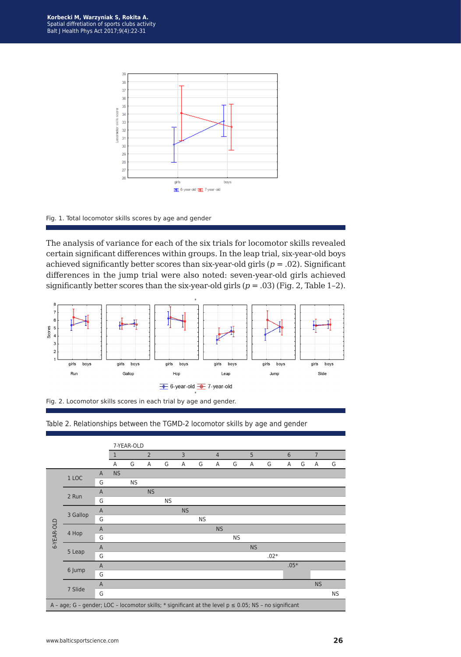

#### Fig. 1. Total locomotor skills scores by age and gender

The analysis of variance for each of the six trials for locomotor skills revealed certain significant differences within groups. In the leap trial, six-year-old boys achieved significantly better scores than six-year-old girls (*p* = .02). Significant differences in the jump trial were also noted: seven-year-old girls achieved significantly better scores than the six-year-old girls (*p* = .03) (Fig. 2, Table 1–2).







#### Table 2. Relationships between the TGMD-2 locomotor skills by age and gender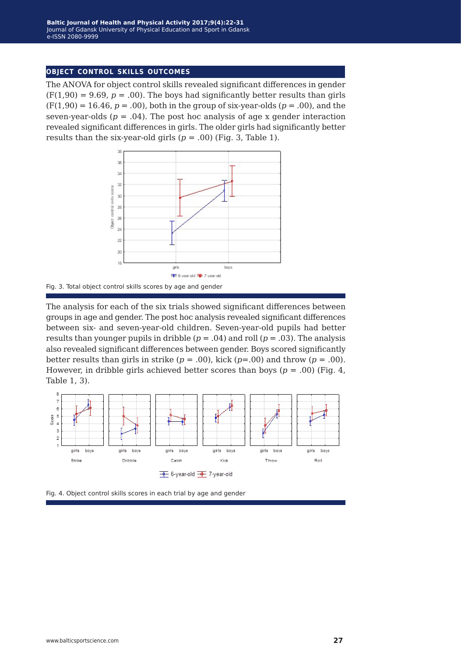#### **object control skills outcomes**

The ANOVA for object control skills revealed significant differences in gender  $(F(1,90) = 9.69, p = .00)$ . The boys had significantly better results than girls  $(F(1,90) = 16.46, p = .00)$ , both in the group of six-year-olds  $(p = .00)$ , and the seven-year-olds  $(p = .04)$ . The post hoc analysis of age x gender interaction revealed significant differences in girls. The older girls had significantly better results than the six-year-old girls  $(p = .00)$  (Fig. 3, Table 1).



Fig. 3. Total object control skills scores by age and gender

The analysis for each of the six trials showed significant differences between groups in age and gender. The post hoc analysis revealed significant differences between six- and seven-year-old children. Seven-year-old pupils had better results than younger pupils in dribble  $(p = .04)$  and roll  $(p = .03)$ . The analysis also revealed significant differences between gender. Boys scored significantly better results than girls in strike  $(p = .00)$ , kick  $(p = .00)$  and throw  $(p = .00)$ . However, in dribble girls achieved better scores than boys  $(p = .00)$  (Fig. 4, Table 1, 3).



Fig. 4. Object control skills scores in each trial by age and gender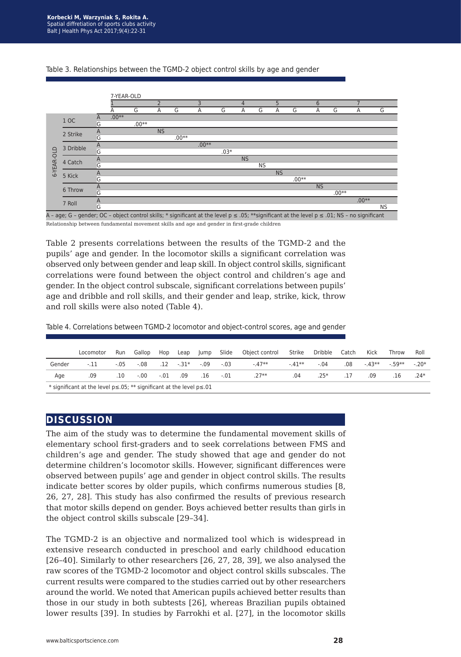



Relationship between fundamental movement skills and age and gender in first-grade children

Table 2 presents correlations between the results of the TGMD-2 and the pupils' age and gender. In the locomotor skills a significant correlation was observed only between gender and leap skill. In object control skills, significant correlations were found between the object control and children's age and gender. In the object control subscale, significant correlations between pupils' age and dribble and roll skills, and their gender and leap, strike, kick, throw and roll skills were also noted (Table 4).

Table 4. Correlations between TGMD-2 locomotor and object-control scores, age and gender

|                                                                                    | Locomotor | Run    | Gallop | Hop    | Leap         | Jump | Slide          | Object control | Strike  | Dribble | Catch            | Kick    | Throw   | Roll    |
|------------------------------------------------------------------------------------|-----------|--------|--------|--------|--------------|------|----------------|----------------|---------|---------|------------------|---------|---------|---------|
| Gender                                                                             | $-.11$    | $-.05$ | $-.08$ |        | $.12 - .31*$ |      | $-0.09 - 0.03$ | $-.47**$       | $-41**$ | $-.04$  | .08 <sub>0</sub> | $-43**$ | $-59**$ | $-.20*$ |
| Age                                                                                | .09       | .10    | $-.00$ | $-.01$ | .09          | .16  | $-.01$         | $.27**$        | .04     | $.25*$  | .17              | .09     | .16     | $.24*$  |
| * significant at the level $p \le 0.05$ ; ** significant at the level $p \le 0.01$ |           |        |        |        |              |      |                |                |         |         |                  |         |         |         |

### **discussion**

The aim of the study was to determine the fundamental movement skills of elementary school first-graders and to seek correlations between FMS and children's age and gender. The study showed that age and gender do not determine children's locomotor skills. However, significant differences were observed between pupils' age and gender in object control skills. The results indicate better scores by older pupils, which confirms numerous studies [8, 26, 27, 28]. This study has also confirmed the results of previous research that motor skills depend on gender. Boys achieved better results than girls in the object control skills subscale [29–34].

The TGMD-2 is an objective and normalized tool which is widespread in extensive research conducted in preschool and early childhood education [26–40]. Similarly to other researchers [26, 27, 28, 39], we also analysed the raw scores of the TGMD-2 locomotor and object control skills subscales. The current results were compared to the studies carried out by other researchers around the world. We noted that American pupils achieved better results than those in our study in both subtests [26], whereas Brazilian pupils obtained lower results [39]. In studies by Farrokhi et al. [27], in the locomotor skills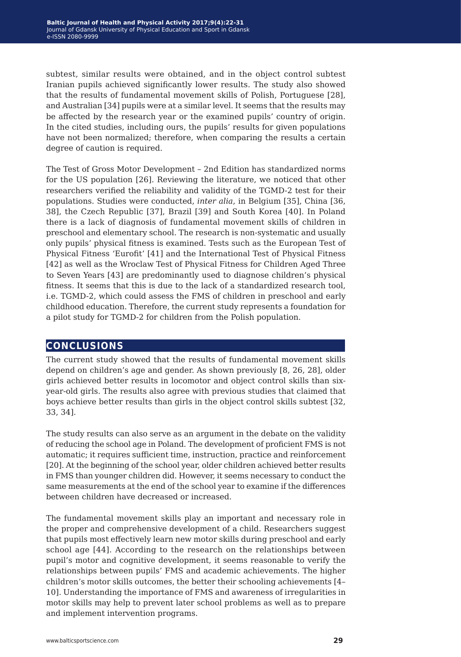subtest, similar results were obtained, and in the object control subtest Iranian pupils achieved significantly lower results. The study also showed that the results of fundamental movement skills of Polish, Portuguese [28], and Australian [34] pupils were at a similar level. It seems that the results may be affected by the research year or the examined pupils' country of origin. In the cited studies, including ours, the pupils' results for given populations have not been normalized; therefore, when comparing the results a certain degree of caution is required.

The Test of Gross Motor Development – 2nd Edition has standardized norms for the US population [26]. Reviewing the literature, we noticed that other researchers verified the reliability and validity of the TGMD-2 test for their populations. Studies were conducted, *inter alia*, in Belgium [35], China [36, 38], the Czech Republic [37], Brazil [39] and South Korea [40]. In Poland there is a lack of diagnosis of fundamental movement skills of children in preschool and elementary school. The research is non-systematic and usually only pupils' physical fitness is examined. Tests such as the European Test of Physical Fitness 'Eurofit' [41] and the International Test of Physical Fitness [42] as well as the Wroclaw Test of Physical Fitness for Children Aged Three to Seven Years [43] are predominantly used to diagnose children's physical fitness. It seems that this is due to the lack of a standardized research tool, i.e. TGMD-2, which could assess the FMS of children in preschool and early childhood education. Therefore, the current study represents a foundation for a pilot study for TGMD-2 for children from the Polish population.

### **conclusions**

The current study showed that the results of fundamental movement skills depend on children's age and gender. As shown previously [8, 26, 28], older girls achieved better results in locomotor and object control skills than sixyear-old girls. The results also agree with previous studies that claimed that boys achieve better results than girls in the object control skills subtest [32, 33, 34].

The study results can also serve as an argument in the debate on the validity of reducing the school age in Poland. The development of proficient FMS is not automatic; it requires sufficient time, instruction, practice and reinforcement [20]. At the beginning of the school year, older children achieved better results in FMS than younger children did. However, it seems necessary to conduct the same measurements at the end of the school year to examine if the differences between children have decreased or increased.

The fundamental movement skills play an important and necessary role in the proper and comprehensive development of a child. Researchers suggest that pupils most effectively learn new motor skills during preschool and early school age [44]. According to the research on the relationships between pupil's motor and cognitive development, it seems reasonable to verify the relationships between pupils' FMS and academic achievements. The higher children's motor skills outcomes, the better their schooling achievements [4– 10]. Understanding the importance of FMS and awareness of irregularities in motor skills may help to prevent later school problems as well as to prepare and implement intervention programs.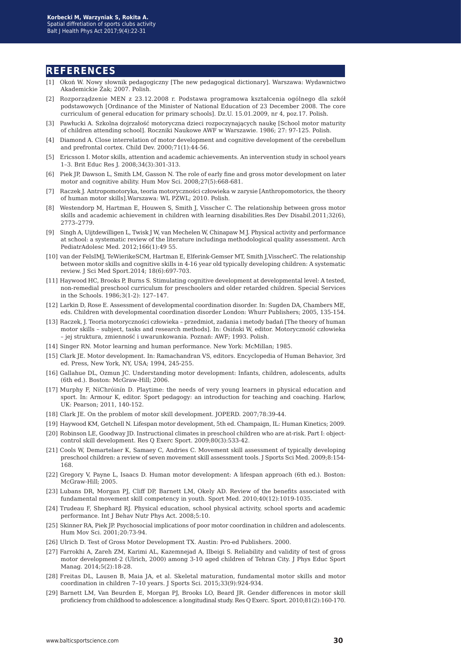#### **references**

- [1] Okoń W. Nowy słownik pedagogiczny [The new pedagogical dictionary]. Warszawa: Wydawnictwo Akademickie Żak; 2007. Polish.
- [2] Rozporządzenie MEN z 23.12.2008 r. Podstawa programowa kształcenia ogólnego dla szkół podstawowych [Ordinance of the Minister of National Education of 23 December 2008. The core curriculum of general education for primary schools]. Dz.U. 15.01.2009, nr 4, poz.17. Polish.
- [3] Pawłucki A. Szkolna dojrzałość motoryczna dzieci rozpoczynających naukę [School motor maturity of children attending school]. Roczniki Naukowe AWF w Warszawie. 1986; 27: 97-125. Polish.
- [4] Diamond A. Close interrelation of motor development and cognitive development of the cerebellum and prefrontal cortex. Child Dev. 2000;71(1):44-56.
- [5] Ericsson I. Motor skills, attention and academic achievements. An intervention study in school years 1–3. Brit Educ Res J. 2008;34(3):301-313.
- [6] Piek JP, Dawson L, Smith LM, Gasson N. The role of early fine and gross motor development on later motor and cognitive ability. Hum Mov Sci. 2008;27(5):668-681.
- [7] Raczek J. Antropomotoryka, teoria motoryczności człowieka w zarysie [Anthropomotorics, the theory of human motor skills].Warszawa: WL PZWL; 2010. Polish.
- [8] Westendorp M, Hartman E, Houwen S, Smith J, Visscher C. The relationship between gross motor skills and academic achievement in children with learning disabilities.Res Dev Disabil.2011;32(6), 2773–2779.
- [9] Singh A, Uijtdewilligen L, Twisk J W, van Mechelen W, Chinapaw M J. Physical activity and performance at school: a systematic review of the literature includinga methodological quality assessment. Arch PediatrAdolesc Med. 2012;166(1):49 55.
- [10] van der FelsIMJ, TeWierikeSCM, Hartman E, Elferink-Gemser MT, Smith J,VisscherC. The relationship between motor skills and cognitive skills in 4-16 year old typically developing children: A systematic review. J Sci Med Sport.2014; 18(6):697-703.
- [11] Haywood HC, Brooks P, Burns S. Stimulating cognitive development at developmental level: A tested, non-remedial preschool curriculum for preschoolers and older retarded children. Special Services in the Schools. 1986;3(1-2): 127–147.
- [12] Larkin D, Rose E. Assessment of developmental coordination disorder. In: Sugden DA, Chambers ME, eds. Children with developmental coordination disorder London: Whurr Publishers; 2005, 135-154.
- [13] Raczek, J. Teoria motoryczności człowieka przedmiot, zadania i metody badań [The theory of human motor skills – subject, tasks and research methods]. In: Osiński W, editor. Motoryczność człowieka – jej struktura, zmienność i uwarunkowania. Poznań: AWF; 1993. Polish.
- [14] Singer RN. Motor learning and human performance. New York: McMillan; 1985.
- [15] Clark JE. Motor development. In: Ramachandran VS, editors. Encyclopedia of Human Behavior, 3rd ed. Press, New York, NY, USA; 1994, 245-255.
- [16] Gallahue DL, Ozmun JC. Understanding motor development: Infants, children, adolescents, adults (6th ed.). Boston: McGraw-Hill; 2006.
- [17] Murphy F, NíChróinín D. Playtime: the needs of very young learners in physical education and sport. In: Armour K, editor. Sport pedagogy: an introduction for teaching and coaching. Harlow, UK: Pearson; 2011, 140-152.
- [18] Clark JE. On the problem of motor skill development. JOPERD. 2007;78:39-44.
- [19] Haywood KM, Getchell N. Lifespan motor development, 5th ed. Champaign, IL: Human Kinetics; 2009.
- [20] Robinson LE, Goodway JD. Instructional climates in preschool children who are at-risk. Part I: objectcontrol skill development. Res Q Exerc Sport. 2009;80(3):533-42.
- [21] Cools W, Demartelaer K, Samaey C, Andries C. Movement skill assessment of typically developing preschool children: a review of seven movement skill assessment tools. J Sports Sci Med. 2009;8:154- 168.
- [22] Gregory V, Payne L, Isaacs D. Human motor development: A lifespan approach (6th ed.). Boston: McGraw-Hill; 2005.
- [23] Lubans DR, Morgan PJ, Cliff DP, Barnett LM, Okely AD. Review of the benefits associated with fundamental movement skill competency in youth. Sport Med. 2010;40(12):1019-1035.
- [24] Trudeau F, Shephard RJ. Physical education, school physical activity, school sports and academic performance. Int J Behav Nutr Phys Act. 2008;5:10.
- [25] Skinner RA, Piek JP. Psychosocial implications of poor motor coordination in children and adolescents. Hum Mov Sci. 2001;20:73-94.
- [26] Ulrich D. Test of Gross Motor Development TX. Austin: Pro-ed Publishers. 2000.
- [27] Farrokhi A, Zareh ZM, Karimi AL, Kazemnejad A, Ilbeigi S. Reliability and validity of test of gross motor development-2 (Ulrich, 2000) among 3-10 aged children of Tehran City. J Phys Educ Sport Manag. 2014;5(2):18-28.
- [28] Freitas DL, Lausen B, Maia JA, et al. Skeletal maturation, fundamental motor skills and motor coordination in children 7–10 years. J Sports Sci. 2015;33(9):924-934.
- [29] Barnett LM, Van Beurden E, Morgan PJ, Brooks LO, Beard JR. Gender differences in motor skill proficiency from childhood to adolescence: a longitudinal study. Res Q Exerc. Sport. 2010;81(2):160-170.